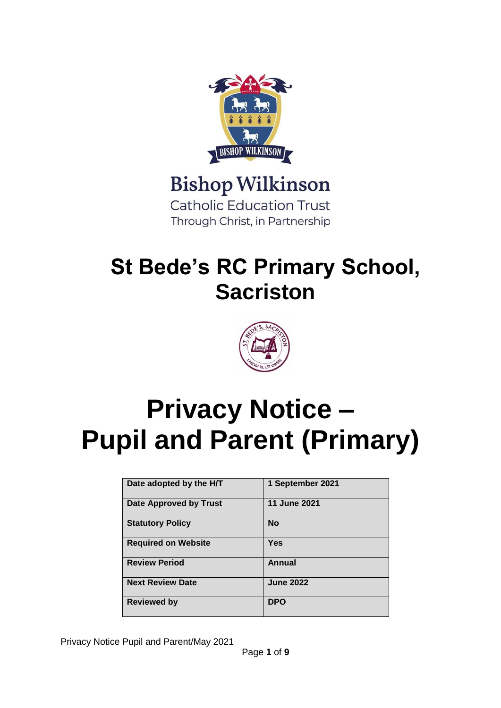

### **Bishop Wilkinson**

**Catholic Education Trust** Through Christ, in Partnership

## **St Bede's RC Primary School, Sacriston**



# **Privacy Notice – Pupil and Parent (Primary)**

| Date adopted by the H/T    | 1 September 2021 |
|----------------------------|------------------|
| Date Approved by Trust     | 11 June 2021     |
| <b>Statutory Policy</b>    | <b>No</b>        |
| <b>Required on Website</b> | <b>Yes</b>       |
| <b>Review Period</b>       | Annual           |
| <b>Next Review Date</b>    | <b>June 2022</b> |
| <b>Reviewed by</b>         | <b>DPO</b>       |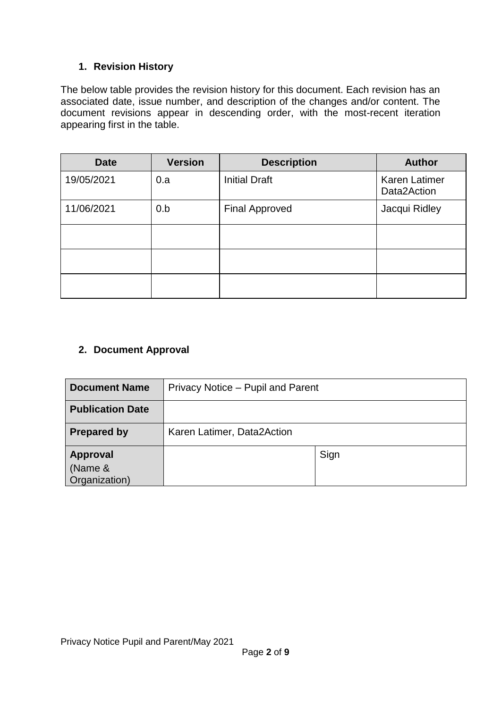#### **1. Revision History**

The below table provides the revision history for this document. Each revision has an associated date, issue number, and description of the changes and/or content. The document revisions appear in descending order, with the most-recent iteration appearing first in the table.

| <b>Date</b> | <b>Version</b> | <b>Description</b>    | <b>Author</b>                       |
|-------------|----------------|-----------------------|-------------------------------------|
| 19/05/2021  | 0.a            | <b>Initial Draft</b>  | <b>Karen Latimer</b><br>Data2Action |
| 11/06/2021  | 0.b            | <b>Final Approved</b> | Jacqui Ridley                       |
|             |                |                       |                                     |
|             |                |                       |                                     |
|             |                |                       |                                     |

#### **2. Document Approval**

| <b>Document Name</b>                        | Privacy Notice – Pupil and Parent |      |  |
|---------------------------------------------|-----------------------------------|------|--|
| <b>Publication Date</b>                     |                                   |      |  |
| <b>Prepared by</b>                          | Karen Latimer, Data2Action        |      |  |
| <b>Approval</b><br>(Name &<br>Organization) |                                   | Sign |  |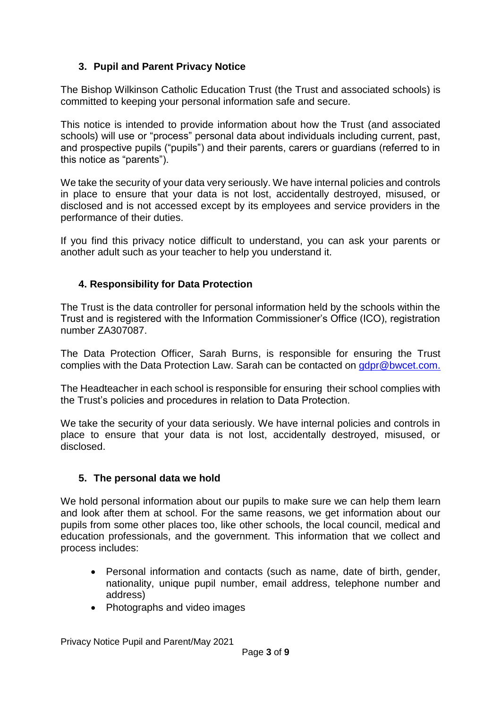#### **3. Pupil and Parent Privacy Notice**

The Bishop Wilkinson Catholic Education Trust (the Trust and associated schools) is committed to keeping your personal information safe and secure.

This notice is intended to provide information about how the Trust (and associated schools) will use or "process" personal data about individuals including current, past, and prospective pupils ("pupils") and their parents, carers or guardians (referred to in this notice as "parents").

We take the security of your data very seriously. We have internal policies and controls in place to ensure that your data is not lost, accidentally destroyed, misused, or disclosed and is not accessed except by its employees and service providers in the performance of their duties.

If you find this privacy notice difficult to understand, you can ask your parents or another adult such as your teacher to help you understand it.

#### **4. Responsibility for Data Protection**

The Trust is the data controller for personal information held by the schools within the Trust and is registered with the Information Commissioner's Office (ICO), registration number ZA307087.

The Data Protection Officer, Sarah Burns, is responsible for ensuring the Trust complies with the Data Protection Law. Sarah can be contacted on [gdpr@bwcet.com.](mailto:gdpr@bwcet.com)

The Headteacher in each school is responsible for ensuring their school complies with the Trust's policies and procedures in relation to Data Protection.

We take the security of your data seriously. We have internal policies and controls in place to ensure that your data is not lost, accidentally destroyed, misused, or disclosed.

#### **5. The personal data we hold**

We hold personal information about our pupils to make sure we can help them learn and look after them at school. For the same reasons, we get information about our pupils from some other places too, like other schools, the local council, medical and education professionals, and the government. This information that we collect and process includes:

- Personal information and contacts (such as name, date of birth, gender, nationality, unique pupil number, email address, telephone number and address)
- Photographs and video images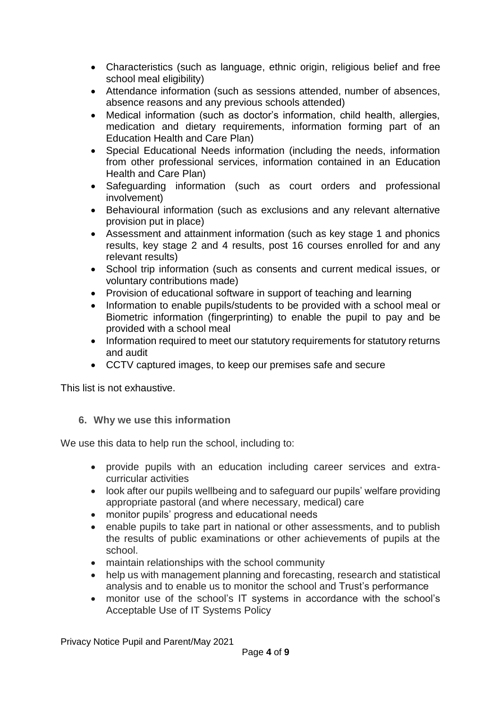- Characteristics (such as language, ethnic origin, religious belief and free school meal eligibility)
- Attendance information (such as sessions attended, number of absences, absence reasons and any previous schools attended)
- Medical information (such as doctor's information, child health, allergies, medication and dietary requirements, information forming part of an Education Health and Care Plan)
- Special Educational Needs information (including the needs, information from other professional services, information contained in an Education Health and Care Plan)
- Safeguarding information (such as court orders and professional involvement)
- Behavioural information (such as exclusions and any relevant alternative provision put in place)
- Assessment and attainment information (such as key stage 1 and phonics results, key stage 2 and 4 results, post 16 courses enrolled for and any relevant results)
- School trip information (such as consents and current medical issues, or voluntary contributions made)
- Provision of educational software in support of teaching and learning
- Information to enable pupils/students to be provided with a school meal or Biometric information (fingerprinting) to enable the pupil to pay and be provided with a school meal
- Information required to meet our statutory requirements for statutory returns and audit
- CCTV captured images, to keep our premises safe and secure

This list is not exhaustive.

**6. Why we use this information**

We use this data to help run the school, including to:

- provide pupils with an education including career services and extracurricular activities
- look after our pupils wellbeing and to safeguard our pupils' welfare providing appropriate pastoral (and where necessary, medical) care
- monitor pupils' progress and educational needs
- enable pupils to take part in national or other assessments, and to publish the results of public examinations or other achievements of pupils at the school.
- maintain relationships with the school community
- help us with management planning and forecasting, research and statistical analysis and to enable us to monitor the school and Trust's performance
- monitor use of the school's IT systems in accordance with the school's Acceptable Use of IT Systems Policy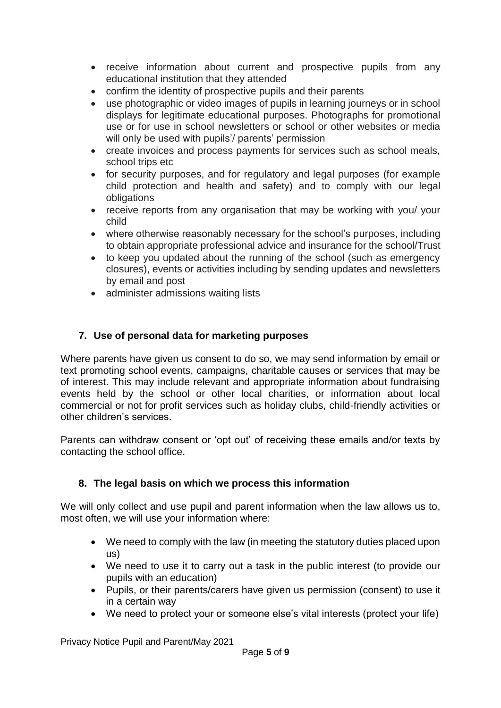- receive information about current and prospective pupils from any educational institution that they attended
- confirm the identity of prospective pupils and their parents
- use photographic or video images of pupils in learning journeys or in school displays for legitimate educational purposes. Photographs for promotional use or for use in school newsletters or school or other websites or media will only be used with pupils'/ parents' permission
- create invoices and process payments for services such as school meals, school trips etc
- for security purposes, and for regulatory and legal purposes (for example child protection and health and safety) and to comply with our legal obligations
- receive reports from any organisation that may be working with you/ your child
- where otherwise reasonably necessary for the school's purposes, including to obtain appropriate professional advice and insurance for the school/Trust
- to keep you updated about the running of the school (such as emergency closures), events or activities including by sending updates and newsletters by email and post
- administer admissions waiting lists

#### **7. Use of personal data for marketing purposes**

Where parents have given us consent to do so, we may send information by email or text promoting school events, campaigns, charitable causes or services that may be of interest. This may include relevant and appropriate information about fundraising events held by the school or other local charities, or information about local commercial or not for profit services such as holiday clubs, child-friendly activities or other children's services.

Parents can withdraw consent or 'opt out' of receiving these emails and/or texts by contacting the school office.

#### **8. The legal basis on which we process this information**

We will only collect and use pupil and parent information when the law allows us to, most often, we will use your information where:

- We need to comply with the law (in meeting the statutory duties placed upon us)
- We need to use it to carry out a task in the public interest (to provide our pupils with an education)
- Pupils, or their parents/carers have given us permission (consent) to use it in a certain way
- We need to protect your or someone else's vital interests (protect your life)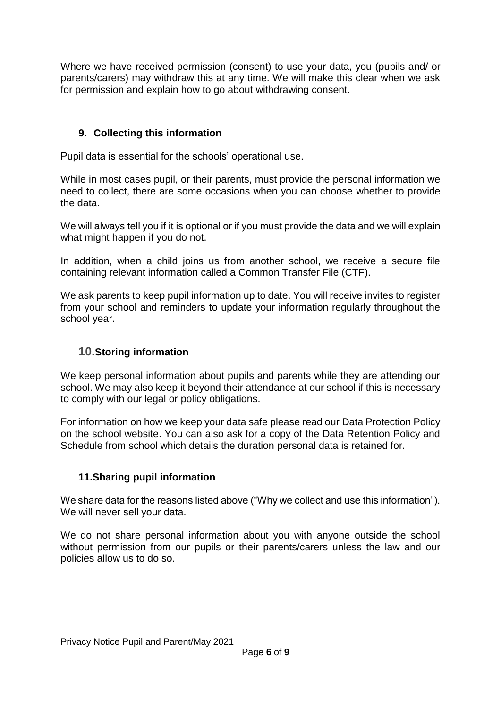Where we have received permission (consent) to use your data, you (pupils and/ or parents/carers) may withdraw this at any time. We will make this clear when we ask for permission and explain how to go about withdrawing consent.

#### **9. Collecting this information**

Pupil data is essential for the schools' operational use.

While in most cases pupil, or their parents, must provide the personal information we need to collect, there are some occasions when you can choose whether to provide the data.

We will always tell you if it is optional or if you must provide the data and we will explain what might happen if you do not.

In addition, when a child joins us from another school, we receive a secure file containing relevant information called a Common Transfer File (CTF).

We ask parents to keep pupil information up to date. You will receive invites to register from your school and reminders to update your information regularly throughout the school year.

#### **10.Storing information**

We keep personal information about pupils and parents while they are attending our school. We may also keep it beyond their attendance at our school if this is necessary to comply with our legal or policy obligations.

For information on how we keep your data safe please read our Data Protection Policy on the school website. You can also ask for a copy of the Data Retention Policy and Schedule from school which details the duration personal data is retained for.

#### **11.Sharing pupil information**

We share data for the reasons listed above ("Why we collect and use this information"). We will never sell your data.

We do not share personal information about you with anyone outside the school without permission from our pupils or their parents/carers unless the law and our policies allow us to do so.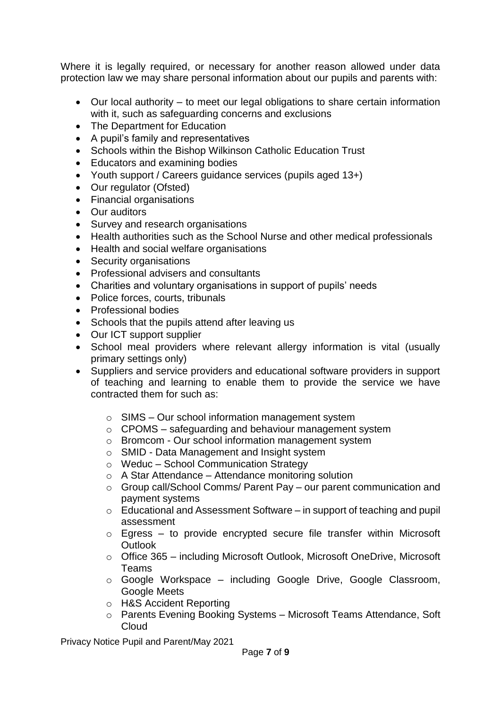Where it is legally required, or necessary for another reason allowed under data protection law we may share personal information about our pupils and parents with:

- Our local authority to meet our legal obligations to share certain information with it, such as safeguarding concerns and exclusions
- The Department for Education
- A pupil's family and representatives
- Schools within the Bishop Wilkinson Catholic Education Trust
- Educators and examining bodies
- Youth support / Careers guidance services (pupils aged 13+)
- Our regulator (Ofsted)
- Financial organisations
- Our auditors
- Survey and research organisations
- Health authorities such as the School Nurse and other medical professionals
- Health and social welfare organisations
- Security organisations
- Professional advisers and consultants
- Charities and voluntary organisations in support of pupils' needs
- Police forces, courts, tribunals
- Professional bodies
- Schools that the pupils attend after leaving us
- Our ICT support supplier
- School meal providers where relevant allergy information is vital (usually primary settings only)
- Suppliers and service providers and educational software providers in support of teaching and learning to enable them to provide the service we have contracted them for such as:
	- $\circ$  SIMS Our school information management system
	- o CPOMS safeguarding and behaviour management system
	- o Bromcom Our school information management system
	- o SMID Data Management and Insight system
	- o Weduc School Communication Strategy
	- $\circ$  A Star Attendance Attendance monitoring solution
	- o Group call/School Comms/ Parent Pay our parent communication and payment systems
	- o Educational and Assessment Software in support of teaching and pupil assessment
	- $\circ$  Egress to provide encrypted secure file transfer within Microsoft **Outlook**
	- o Office 365 including Microsoft Outlook, Microsoft OneDrive, Microsoft Teams
	- o Google Workspace including Google Drive, Google Classroom, Google Meets
	- o H&S Accident Reporting
	- o Parents Evening Booking Systems Microsoft Teams Attendance, Soft **Cloud**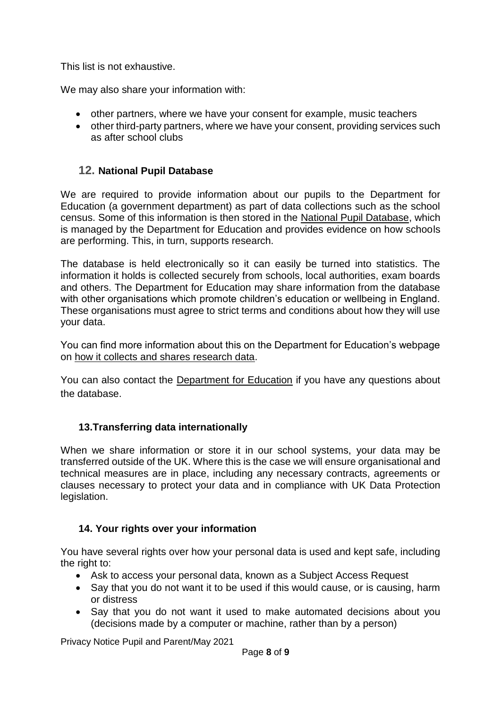This list is not exhaustive.

We may also share your information with:

- other partners, where we have your consent for example, music teachers
- other third-party partners, where we have your consent, providing services such as after school clubs

#### **12. National Pupil Database**

We are required to provide information about our pupils to the Department for Education (a government department) as part of data collections such as the school census. Some of this information is then stored in the [National Pupil Database,](https://www.gov.uk/guidance/how-to-access-department-for-education-dfe-data-extracts) which is managed by the Department for Education and provides evidence on how schools are performing. This, in turn, supports research.

The database is held electronically so it can easily be turned into statistics. The information it holds is collected securely from schools, local authorities, exam boards and others. The Department for Education may share information from the database with other organisations which promote children's education or wellbeing in England. These organisations must agree to strict terms and conditions about how they will use your data.

You can find more information about this on the Department for Education's webpage on [how it collects and shares research data.](https://www.gov.uk/guidance/data-protection-how-we-collect-and-share-research-data)

You can also contact the [Department for Education](https://www.gov.uk/contact-dfe) if you have any questions about the database.

#### **13.Transferring data internationally**

When we share information or store it in our school systems, your data may be transferred outside of the UK. Where this is the case we will ensure organisational and technical measures are in place, including any necessary contracts, agreements or clauses necessary to protect your data and in compliance with UK Data Protection legislation.

#### **14. Your rights over your information**

You have several rights over how your personal data is used and kept safe, including the right to:

- Ask to access your personal data, known as a Subject Access Request
- Say that you do not want it to be used if this would cause, or is causing, harm or distress
- Say that you do not want it used to make automated decisions about you (decisions made by a computer or machine, rather than by a person)